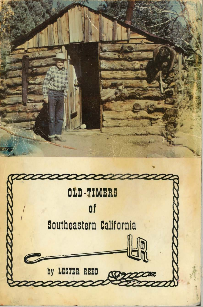

by LESTER REED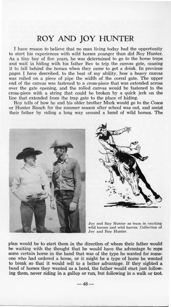## ROY AND JOY HUNTER

I have reason to believe that no man living today had the opportunity to start his experiences with wild horses younger than did Roy Hunter. As a tiny boy of five years, he was determined to go to the horse traps and wait in hiding with his father Bey to trip the canvas gate, causing it to fall behind the horses when they came to get a drink. In previous pages I have described, to the best of my ability, how a heavy canvas was rolled on a piece of pipe the width of the corral gate. The upper end of the canvas was fastened to a cross-piece that was extended across over the gate opening, and the rolled canvas would be fastened to the cross-piece with a string that could be broken by a quick jerk on the line that extended from the trap gate to the place of hiding.

Roy tells of how he and his older brother Mark would go to the Cosos or Hunter Ranch for the summer season after school was out, and assist their father by riding a long way around a band of wild horses. The



plan would be to start them in the direction of where their father would be waiting with the thought that he would have the advantage to rone some certain horse in the band that was of the type he wanted for someone who had ordered a horse, or it might be a type of horse he wanted to break so that it would sell to a better advantage. If they sighted a band of horses they wanted as a band, the father would start just following them, never riding in a gallop or run, but following in a walk or trot.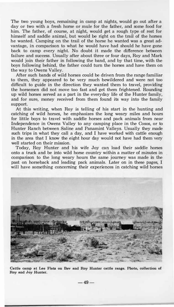**The two young boys, remaining in camp at nights, would go out after a day or two with a fresh horse or mule for the father, and some food for him. The father, of course, at night, would get a rough type of rest for himself and saddle animal, but would be right on the trail of the horses he wanted. Camping on the trail of the horse he wanted was a great advantage, in comparison to what he would have had should he have gone back to camp every night. No doubt it made the difference between failure and success. Usually after about three or four days, Roy and Mark would join their father in following the band, and by that time, with the boys following behind, the father could tum the horses and have them on the way to Owens Valley.** 

**After such bands of wild horses could be driven from the range familiar to them, they appeared to be very much bewildered and were not too difficult to guide in the direction they wanted them to travel, providing the horsemen did not move too fast and get them frightened. Rounding up wild horses served as a part in the everyday life of the Hunter family, and for sure, money received from them found its way into the family support.** 

**At this writing, when Roy is telling of his start in the hunting and catching of wild horses, he emphasizes the long weary miles and hours for little boys to travel with saddle horses and pack animals from near Independence in Owens Valley to any camping place in the Cosos, or to Hunter Ranch between Saline and Panamint Valleys. Usually they made such trips in what they call a day, and I have worked with cattle enough in the area that I know the eight hour day would not have had them very well started on their mission.** 

**Today, Roy Hunter and his wife Joy can load their saddle horses onto a truck and be into wild horse country within a matter of minutes in comparison to the long weary hours the same journey was made in the past on horseback and leading pack animals. Later on in these pages, I will have something concerning their experiences in catching wild horses** 



**Cattle camp at Lee Flats on Bev and Roy Hunter cattle range. Photo, collection of Roy and Joy Hunter.** 

**-49-**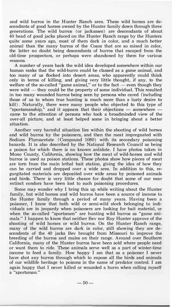and wild burros in the Hunter Ranch area. These wild horses are descendants of good horses owned by the Hunter family down through three generations. The wild burros (or jackasses) are descendants of about 40 head of good jacks placed on the Hunter Ranch range by the Hunters quite some years ago, most of them dark in color, and a much better animal than the many burros of the Cosos that are so mixed in color, the latter no doubt being descendants of burros that escaped from the old-time prospectors, or perhaps were abandoned by them for various reasons.

A number of years back the wild idea developed somewhere within our human ranks that the wild-burro could be classed as a game animal, and too many of us flocked into desert areas, who apparently could think only in terms of killing, and giving very little thought, if any, to the welfare of the so-called "game animal," or to the fact  $-$  even though they were wild  $-$  they could be the property of some individual. This resulted in too many wounded burros being seen by persons who cared (including those of us to whom true hunting is much more than a lusty desire **to** kill). Naturally, there were many people who objected **to** this type of "sportsmanship," and it appears that their objections - somewhere came **to** the attention of persons who took a broadminded view of the over-all picture, and at least helped some in bringing about a better situation.

Another very harmful situation lies within the shooting of wild horses and wild burros by the poisoners, and then the meat impregnated with Sodium Fluroacetate (Compound 1080) with its secondary poisoning hazards. It is also described by the National Research Council as being a poison for which there is no known antidote. I have photos taken in Mono County, California, showing how the meat of wild-horses and wild burros is used as poison stations. These photos show how pieces of meat are torn from the main lethal bait station, giving the idea of how they can be carried and dropped over a wide area. In addition to this, regurgitated materials are deposited over wide areas by poisoned animals and birds. There is very little chance for doubt that some of our near extinct condors have been lost to such poisoning procedures.

Some may wonder why I bring this up while writing about the Hunter family, but wild horses and wild burros have been a source of income to the Hunter family through a period of many years. Having been a poisoner, I know that both wild or semi-wild stock belonging to individuals are in jeopardy when poisoners are looking for bait material, or when the so-called "sportsmen" are hunting wild burros as "game **ani**mals." I happen to know that neither Bev nor Roy Hunter approve of the shooting of wild horses or wild burros. On the Hunter Ranch range, many of the wild burros are dark in color, still showing they are descendents of the 40 jacks Bev brought from Missouri to improve the breeding of the burros and mules on their range. Around over Southern California, many of the Hunter burros have been sold where people need or want them to ride. These animals serve well as a part of winter-time income to feed a family. How happy I am that as a poisoner I never have shot any burros through which to expose all the birds and animals of our wildlife heritage to poisons in the name of predator control. I am again happy that I never killed or wounded a burro when calling myself a "sportsman."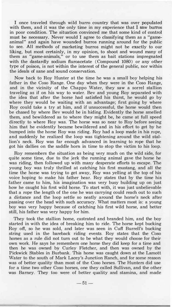**I once traveled through wild burro country that was over populated with them, and it was the only time in my experience that I saw burros in poor condition. The situation convinced me that some kind of control must be necessary. Never would I agree to classifying them as a "gameanimal" and again have wounded burros running around for the public to see. All methods of marketing burros might not be exactly to our liking, but most certainly, in my opinion, to shoot and wound many of them as "game-animals," or to use them as bait stations impregnated with the dastardly sodium fluroacetate (Compound 1080) or any other type of poison, is not within the interest of the general public, nor within the ideals of sane and sound conservation.** 

**Now back to Roy Hunter at the time he was a small boy helping his father in the Coso Range. One day when they were in the Coso Range, and in the vicinity of the Chappo Water, they saw a sorrel stallion traveling as if on his way to water. Bev and young Roy separated with the idea that after the horse had satisfied his thirst, he would go by where they would be waiting with an advantage; first going by where Roy could take a try at him, and if unsuccessful, the horse would then be chased by where Bev would be in hiding. Evidently the horse smelled them, and bewildered as to where they might be, he came at full speed directly to where Roy was. The horse was so near to Roy before seeing**  him **that he evidently became bewildered and in his effort to get by he bumped into the horse Roy was riding. Roy had a loop made in his rope, and suddenly he realized the loop was tightening around the wild stallion's neck. Roy was far enough advanced in learning to rope that he got his dallies on the saddle horn in time to stop the victim to his loop.** 

**Roy remembers the situation as being very much on the wild side, for quite some time, due to the jerk the running animal gave the horse he was riding, then followed up with many desperate efforts to escape. The young boy was truly thrilled at catching his first mustang, and all the time the horse was trying to get away, Roy was yelling at the top of his voice hoping to make his father hear. Roy states that by the time his father came to him, his imagination was very busy building up on just how he caught his first wild horse. To start with, it was just unbelievable that a rope the length of the one he was carrying could reach out to such a distance and the 1oop settle so neatly around the horse's neck after passing over the head with such accuracy. What matters most is: a young boy was very happy because of catching his first wild horse, and better still, his father was very happy for him.** 

**They took the stallion home, castrated and branded him, and the boy started in with the idea of breaking** him **to ride. The horse kept bucking Roy off, so he was sold, and later was seen in Cuff Burrell's bucking string used in the bareback riding events. Roy states that the Coso horses as a rule did not turn out to be what they would choose for their own work. He says he remembers one horse they did keep for a time and then he was owned by Curley Fletcher, and then was owned by the Pickwick Stables in Burbank. This horse was caught down at the Lamott Water to the south of Mark Lacey's Junction Ranch, and for some reason was of better quality than most of the Coso horses. The Hunters did use for a time two other Coso horses, one they called Sullivan, and the other was Barney. They too were of better quality and stamina, and made**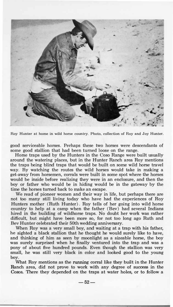

**Roy Hunter at home in wild horse country. Photo, collection of Roy and Joy Hunter.** 

good serviceable horses. Perhaps these two horses were descendants of some good stallion that had been turned loose on the range.

Horse traps used by the Hunters in the Coso Range were built usually around the watering places, but in the Hunter Ranch area Roy mentions the traps being blind traps that would be built on some wild horse travel way. By watching the routes the wild horses would take in making a get-away from horsemen, corrals were built in some spot where the horses would be inside before realizing they were in an enclosure, and then the boy or father who would be in hiding would be in the gateway by the time the horses turned back to make an escape.

We read of pioneer women and their way in life, but perhaps there are not too many still living today who have had the experiences of Roy Hunters mother (Ruth Hunter). Roy tells of her going into wild horse country to help at a camp when the father (Bev) had several Indians hired in the building of wildhorse traps. No doubt her work was rather difficult, but might have been more so, for not too long ago Ruth and Bev Hunter celebrated their 50th wedding anniversary.

When Roy was a very small boy, and waiting at a trap with his father, he sighted a black stallion that he thought he would surely like to have, and thinking of him as seen by moonlight as a sizeable horse, the boy was surely surprised when he finally ventured into the trap and was a pony of about five hundred pounds. Even though the stallion was very small, he was still very black in color and looked good to the young boy.

What Roy mentions as the running corral like they built in the Hunter Ranch area, did not prove to work with any degree of success in the Cosos. There they depended on the traps at water holes, or to follow a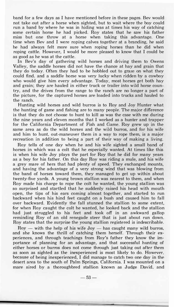band for a few days as I have mentioned before in these pages. Bev would not take out after a horse when sighted, but to wait where the boy could run a band by where he was in hiding was at times his way of catching some certain horse he had picked. Roy states that he saw his father miss but one throw at a horse when taking this advantage. One time when Bev and I were roping calves together at a branding, he said he had always felt more sure when roping horses than he did when roping cattle. However, I would be more pleased to know that I could be as good as he was at the cattle.

In Bev's day of gathering wild horses and driving them to Owens Valley, the saddle horses did not have the chance at hay and grain that they do today. Often they had to be hobbled out to graze on what they could find, and a saddle horse was very lucky when ridden by a cowboy who would give him every advantage. Today, most horses get both hay and grain; they are hauled in either truck or trailer into wild horse country, and the drives from the range to the ranch are no longer a part of the picture, for the captured horses are loaded into trucks and hauled to the ranch.

Hunting wild horses and wild burros is to Roy and Joy Hunter what the hunting of game and fishing are to many people. The major difference is that they do not choose to hunt to kill as was the case with me during the nine years and eleven months that I worked as a hunter and trapper for the California Department of Fish and Game. Roy grew up in the same area as do the wild horses and the wild burros, and for his wife and him to hunt, out-maneuver them in a way to rope them, is a major recreation in addition to being a part of their way of making a living.

Roy tells of one day when he and his wife sighted a small band of horses in which was a colt that he especially wanted. At times like this is when his wife Joy plays the part for Roy that he did for many years as a boy for his father. On this day Roy was riding a mule, and his wife a grey mare of hers that had plenty of speed. They exchanged mounts, and having the advantage of a very strong wind that was blowing from the band of horses toward them, they managed to get up within about twenty-five yards. A young brown stallion was nearest to them, and when Roy made his charge to rope the colt he wanted, the young stallion was so surprised and startled that he suddenly raised his head with mouth open, the tips of his ears coming almost together, and started to run backward when his hind feet caught on a bush and caused him to fall over backward. Evidently the fall stunned the stallion to some extent, for when Roy caught the colt he wanted, he looked back and the stallion had just struggled to his feet and took off in an awkward gallop reminding Roy of an old renegade steer that is just about run down. Roy states that the surprise the young stallion registered is indescribable.

 $Roy -$  with the help of his wife  $Joy -$  has caught many wild burros, and she knows the thrill of catching them herself. Through their experiences, and through teachings from Roy's father they know the importance of planning for an advantage, and that successful hunting of either horses or burros does not come through just taking out after them as soon as sighted as the inexperienced is most likely to do. However. because of being inexperienced, I did manage to catch two one day in the desert area to the south of Palm Springs, California. I was mounted on a mare sired by a thoroughbred stallion known as Judge David, and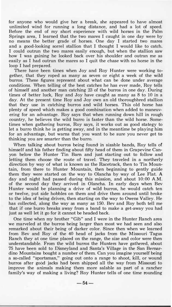for anyone who would give her a break, she appeared to have almost unlimited wind for running a long distance, and had a lot of speed. Before the end of my short experience with wild horses in the Palm Springs area, I learned that the two mares I caught in one day were by no means the better grade of horses. One day I started two mares and a good-looking sorrel stallion that I thought I would like to catch. I could outrun the two mares easily enough, but when the stallion saw how I was gaining he looked back over his shoulder and outran me as easily as I had outrun the mares so I quit the chase with no horse in the loop I had prepared.

There have been times when Joy and Roy Hunter were working together, that they roped as many as seven or eight a week of the **wild** burros. These figures represent about what can be done under average conditions. When telling of the best catches he has ever made, Roy tells of himself and another man catching 23 of the burros in one day. During times of better luck, Roy and Joy have caught as many as 8 to 10 in a day. At the present time Roy and Joy own an old thoroughbred stallion that they use in catching burros and wild horses. This old horse has plenty of speed which makes a good combination when added to maneuvering for an advantage. Roy says that when running down hill in rough country, he believes the wild burro is faster than the wild horse. Sometimes when gathering burros, Roy says, it works out as good stategy to let a burro think he is getting away, and in the meantime be playing **him** for an advantage, but warns that you want to be sure you never get to thinking you are smarter than the burro.

When talking about burros being found in sizable bands, Roy tells of himself and his father finding about fifty head of them in Grapevine Canyon below the Hunter Tin Barn and just starting out to follow and letting them choose the route of travel. They traveled in a northerly direction by way of what is known as the Racetrack, then to Tin Mountain, from there to Hunter Mountain, then beginning to gently guide them they were started on the way to Olancha by way of Lee Flat. **A** day and night had passed during this mission, and about 10:00 A.M. of the second day they arrived in Olancha. In early days when Bev Hunter would be planning a drive of **wild** burros, he would catch ten or twelve, put side hobbles on them and drive them around until broke to the idea of being driven, then starting on the way to Owens Valley. He has collected, along the way as many as 150. Bev and Roy both tell me that if one burro breaks away from a band to make a get-away you had just as well let it go for it cannot be headed back.

One time when my brother "Gib" and I were in the Hunter Ranch area we marveled at the burros being larger than most we had seen and also remarked about their being of darker color. Since then when we learned from Bev and Roy of the 40 head of jacks from the Missouri Tagus Ranch they at one time placed on the range, the size and color were then understandable. From the wild burros the Hunters have gathered, about 75 have been sold to Disneyland and Santa's Village in the San Bernardino Mountains bought a number of them. Can you imagine yourself being a so-called "sportsman," going out onto a range to shoot, kill, or wound burros after good jacks had been shipped all the way from Missouri to improve the animals making them more salable as part of a rancher family's way of making a living? Roy Hunter tells of one time rounding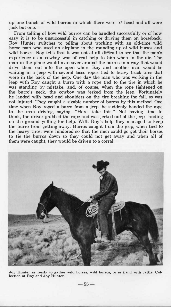up one bunch of wild burros in which there were **57** head and all were jack but one.

From telling of how wild burros can be handled successfully or of how easy it is to be unsuccessful in catching or driving them on horseback, Roy Hunter switches to telling about working with an old-time wild horse man who used an airplane in the rounding up of wild burros and wild horses. Roy tells that it was not at all difficult to see that the man's experience as a cowboy was of real help to **him** when in the air. The man in the plane would maneuver around the burros in a way that would drive them out into the open where Roy and another man would be waiting in a jeep with several lasso ropes tied to heavy truck tires that were in the back of the jeep. One day the man who was working in the jeep with Roy caught a burro with a rope tied to the tire in which he was standing by mistake, and, of course, when the rope tightened on the burro's neck, the cowboy was jerked from the jeep. Fortunately he landed with head and shoulders on the tire breaking the fall, so was not injured. They caught a sizable number of burros by this method. One time when Roy roped a burro from a jeep, he suddenly handed the rope to the man driving, saying, "Here, take this." Not having time to think, the driver grabbed the rope and was jerked out of the jeep, landing on the ground yelling for help. With Roy's help they managed to keep the burro from getting away. Burros caught from the jeep, when tied to the heavy tires, were hindered so that the men could go get their horses to tie the burros down so they could not get away and when all of them were caught, they would be driven to a corral.



Joy Hunter as ready to gather wild horses, wild burros, or as hand with cattle. Col**lection of Roy and Joy Hunter.** 

**-55-**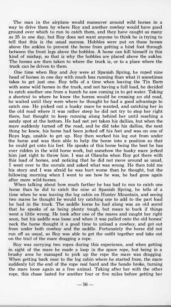The man in the airplane would maneuver around wild horses in a way to drive them by where Roy and another cowboy would have good ground over which to run to catch them, and they have caught as many as 25 in one day, but Roy does not want anyone to think he is trying to tell that this is the usual success. Hobbles were put on these horses above the ankles to prevent the horse from getting a hind foot through between the front legs above the hobbles. A horse can kill himself in this kind of mishap, so that is why the hobbles are placed above the ankles. The horses are then taken to where the truck is, or to a place where the truck can be driven to them.

One time when Roy and Joy were at Spanish Spring, he roped nine head of horses in one day with much less running than what it sometimes takes to get just one. Roy tells of a time when leaving the Tin Barn with some wild horses in the truck, and not having a full load, he decided to catch another one from a bunch he saw coming in to get water. Taking a shortcut to where he knew the horses would be crossing an old road, he waited until they were where he thought he had a good advantage to catch one. He picked out a husky mare he wanted, and catching her in the old road where it was rather steep he did not try to stop her right there, but thought to keep running along behind her until reaching a sandy spot at the bottom. He had not yet taken his dallies, but when the mare suddenly turned off the road, and he did take his dallies, the next thing he knew, his horse had been jerked off his feet and was on one of Roys legs, unable to get up. Roy then worked his leg out from under the horse and was then able to help the horse into a position so that he could get onto his feet. He speaks of this horse being the best he has ever ridden in the wild horse work, but somehow the husky mare jerked him just right to throw him. I was at Olancha when Roy got there with this load of horses, and noticing that he did not move around as usual, I went over to the corrals and asked what was wrong. He then told me his story and I was afraid he was hurt worse than he thought, but the following morning when I went to see how he was, he had gone again after more wild-horses.

When talking about how much farther he has had to run to catch one horse than he did to catch the nine at Spanish Spring, he tells of a time when he was leaving the log cabin on Hunter Mountain, and seeing two mares he thought he would try catching one to add to the part load he had in the truck. The saddle horse he had along was an old sorrel that he speaks of as being plenty tough, but mean to buck if things went a little wrong. He took after one of the mares and caught her right soon, but his saddle was loose and when it was pulled onto the old horses' neck the horse thought it a good time to unload a cowboy, and got out from under both cowboy and the saddle. Fortunately the horse did not run off as usual, so Roy was able to get the outfit together and take out on the trail of the mare dragging a rope.

Roy was carrying two ropes during this experience, and when getting in sight of the mare he made a loop in the spare rope, but being in a brushy area he managed to pick up the rope the mare was dragging. When getting back near to the log cabin where he started from, the mare suddenly hit the end of the rope real hard and the hondo broke, turning the mare loose again as a free animal. Taking after her with the other rope, this chase lasted for another four or five miles before getting her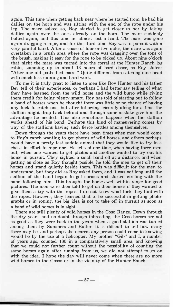again. This time when getting back near where he started from, he had his dallies on the horn and was sitting with the end of the rope under his leg. The mare sulked so, Roy started to get closer to her by taking dallies again over the ones already on the horn. The mare suddenly bolted again, and this time he almost lost a hand. The mare was gone again dragging a rope, and for the third time Roy was in pursuit with a very painful hand. After a chase of four or five miles, the mare was again overtaken in a brush area where the rope was dragging over the tops of the brush, making it easy for the rope to be picked up. About nine o'clock that night the mare was turned into the corral at the Hunter Ranch log cabin, summing up to about 13 hours of hard chase, as Roy states: "After one old potbellied mare." Quite different from catching nine head with much less running and hard work.

To me it is truly great to listen to men like Roy Hunter and his father Bev tell of their experiences, or perhaps I had better say telling of what they have learned from the wild horse and the wild burro while giving them credit for being plenty smart. Roy has told of starting out to follow a band of horses when he thought there was little or no chance of having any luck to catch one, but after following leisurely along for a time the stallion might drop back behind and through some mistake give him the advantage he needed. This also sometimes happens when the stallion works ahead of his band. Perhaps this kind of maneuvering comes by way of the stallions having such fierce battles among themselves.

Down through the years there have been times when men would come to Roy's ranch wanting to get photos of wild horses, and others perhaps would have a pretty fast saddle animal that they would like to try in a chase in effort to rope one. He tells of one time, when having three men out, when one wanted to get photos and another wanted to try out his horse in pursuit. They sighted a small band off at a distance, and when getting as close as Roy thought posible, he told the men to get off their horses and stand quietly beside them. This was difficult for the men to understand, but they did as Roy asked them, and it was not long until the stallion of the band began to get curious and started circling with the band following him. This brought the horses well within range for good pictures. The men were then told to get on their horses if they wanted to give them a try with the ropes. I do not know what luck they had with the ropes. However, they learned that to be successful in getting photographs or in roping, the big idea is not to take off in pursuit as soon as a band of wild horses is in sight.

There are still plenty of wild horses in the Coso Range. Down through the dry years, and no doubt through inbreeding, the Coso horses are not as good as they were back in the years when a good stallion was turned among them by Summers and Butler. It is difficult to tell how many there may be, and perhaps the nearest any person could come to knowing would be by the use of a helicopter. My brother "Gib" and I, a number of years ago, counted 180 in a comparatively small area, and knowing that we could not further count without the possibility of counting the same horses again after running from us, we did not attempt to go on with the idea. I hope the day will never come when there are no more wild horses in the Cosos or in the vicinity of the Hunter Ranch.